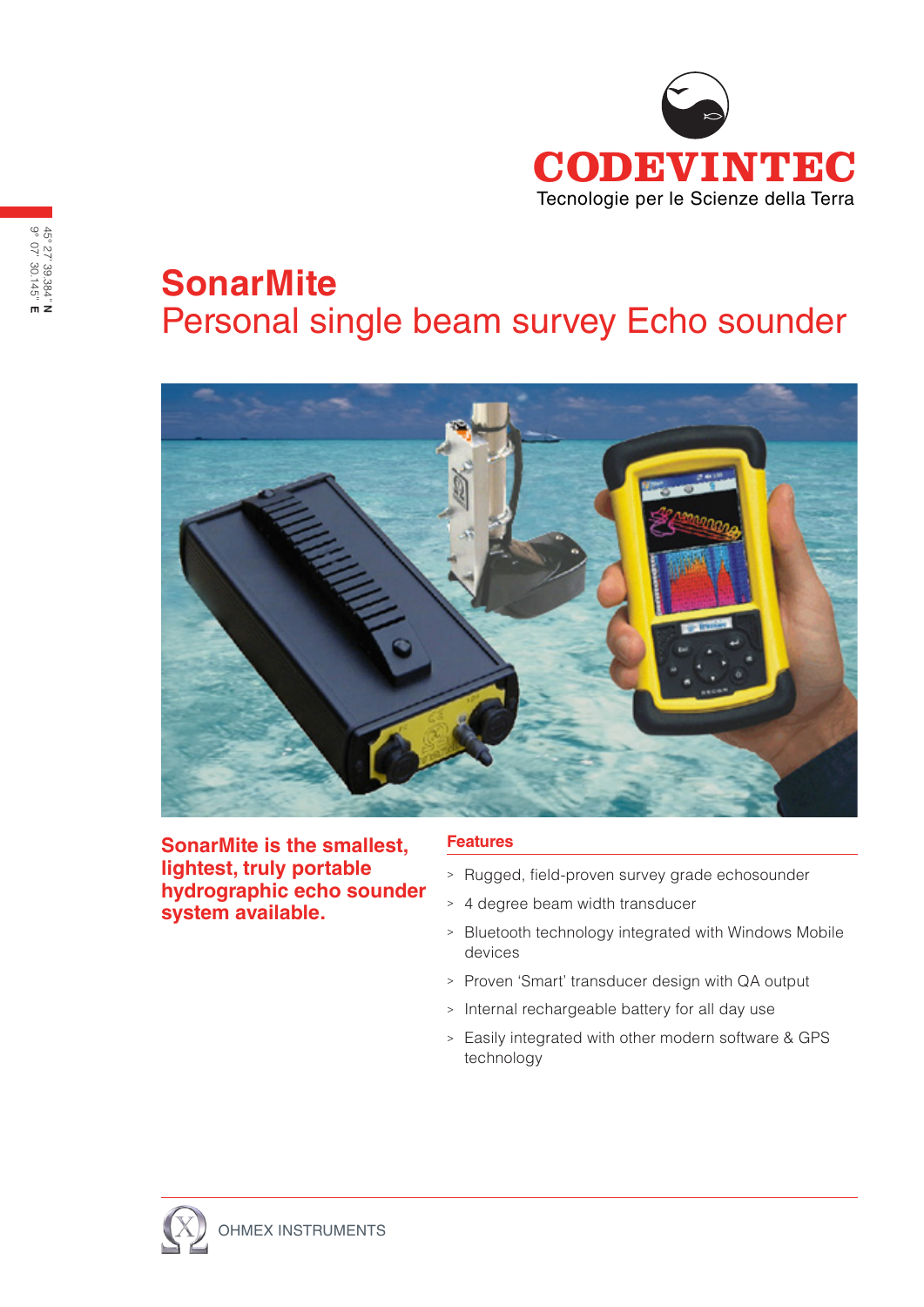

## **SonarMite** Personal single beam survey Echo sounder



**SonarMite is the smallest, lightest, truly portable hydrographic echo sounder system available.**

## **Features**

- <sup>&</sup>gt; Rugged, field-proven survey grade echosounder
- <sup>&</sup>gt; 4 degree beam width transducer
- <sup>&</sup>gt; Bluetooth technology integrated with Windows Mobile devices
- <sup>&</sup>gt; Proven 'Smart' transducer design with QA output
- <sup>&</sup>gt; Internal rechargeable battery for all day use
- <sup>&</sup>gt; Easily integrated with other modern software & GPS technology